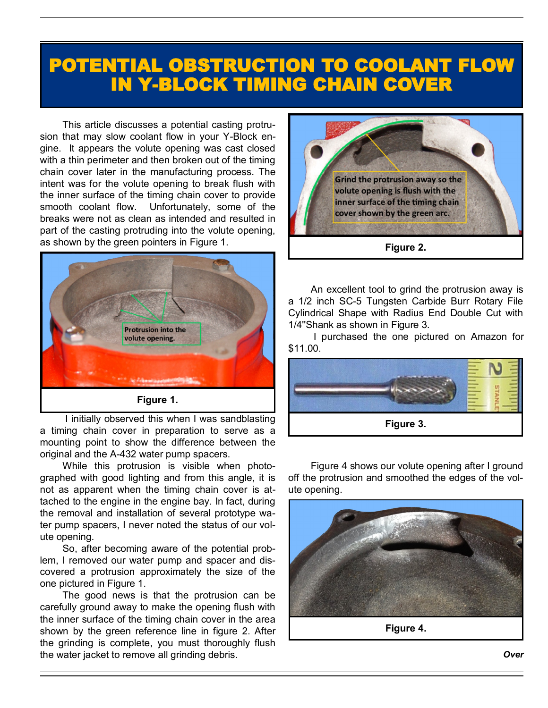## POTENTIAL OBSTRUCTION TO COOLANT FLOW IN Y-BLOCK TIMING CHAIN COVER

This article discusses a potential casting protrusion that may slow coolant flow in your Y-Block engine. It appears the volute opening was cast closed with a thin perimeter and then broken out of the timing chain cover later in the manufacturing process. The intent was for the volute opening to break flush with the inner surface of the timing chain cover to provide smooth coolant flow. Unfortunately, some of the breaks were not as clean as intended and resulted in part of the casting protruding into the volute opening, as shown by the green pointers in Figure 1.



I initially observed this when I was sandblasting a timing chain cover in preparation to serve as a mounting point to show the difference between the original and the A-432 water pump spacers.

While this protrusion is visible when photographed with good lighting and from this angle, it is not as apparent when the timing chain cover is attached to the engine in the engine bay. In fact, during the removal and installation of several prototype water pump spacers, I never noted the status of our volute opening.

So, after becoming aware of the potential problem, I removed our water pump and spacer and discovered a protrusion approximately the size of the one pictured in Figure 1.

The good news is that the protrusion can be carefully ground away to make the opening flush with the inner surface of the timing chain cover in the area shown by the green reference line in figure 2. After the grinding is complete, you must thoroughly flush the water jacket to remove all grinding debris.



An excellent tool to grind the protrusion away is a 1/2 inch SC-5 Tungsten Carbide Burr Rotary File Cylindrical Shape with Radius End Double Cut with 1/4''Shank as shown in Figure 3.

I purchased the one pictured on Amazon for \$11.00.



Figure 4 shows our volute opening after I ground off the protrusion and smoothed the edges of the volute opening.